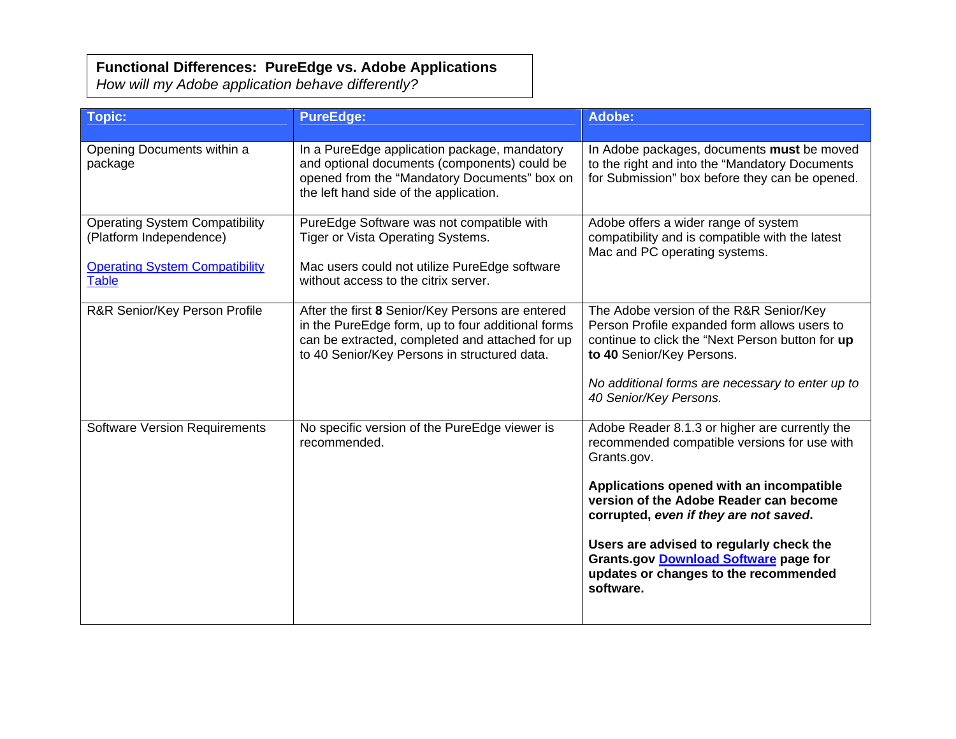## **Functional Differences: PureEdge vs. Adobe Applications**

*How will my Adobe application behave differently?* 

| Topic:                                                                                                                    | <b>PureEdge:</b>                                                                                                                                                                                         | Adobe:                                                                                                                                                                                                                                                                                                                                                                                          |
|---------------------------------------------------------------------------------------------------------------------------|----------------------------------------------------------------------------------------------------------------------------------------------------------------------------------------------------------|-------------------------------------------------------------------------------------------------------------------------------------------------------------------------------------------------------------------------------------------------------------------------------------------------------------------------------------------------------------------------------------------------|
| Opening Documents within a<br>package                                                                                     | In a PureEdge application package, mandatory<br>and optional documents (components) could be<br>opened from the "Mandatory Documents" box on<br>the left hand side of the application.                   | In Adobe packages, documents must be moved<br>to the right and into the "Mandatory Documents<br>for Submission" box before they can be opened.                                                                                                                                                                                                                                                  |
| <b>Operating System Compatibility</b><br>(Platform Independence)<br><b>Operating System Compatibility</b><br><b>Table</b> | PureEdge Software was not compatible with<br>Tiger or Vista Operating Systems.<br>Mac users could not utilize PureEdge software<br>without access to the citrix server.                                  | Adobe offers a wider range of system<br>compatibility and is compatible with the latest<br>Mac and PC operating systems.                                                                                                                                                                                                                                                                        |
| R&R Senior/Key Person Profile                                                                                             | After the first 8 Senior/Key Persons are entered<br>in the PureEdge form, up to four additional forms<br>can be extracted, completed and attached for up<br>to 40 Senior/Key Persons in structured data. | The Adobe version of the R&R Senior/Key<br>Person Profile expanded form allows users to<br>continue to click the "Next Person button for up<br>to 40 Senior/Key Persons.<br>No additional forms are necessary to enter up to<br>40 Senior/Key Persons.                                                                                                                                          |
| <b>Software Version Requirements</b>                                                                                      | No specific version of the PureEdge viewer is<br>recommended.                                                                                                                                            | Adobe Reader 8.1.3 or higher are currently the<br>recommended compatible versions for use with<br>Grants.gov.<br>Applications opened with an incompatible<br>version of the Adobe Reader can become<br>corrupted, even if they are not saved.<br>Users are advised to regularly check the<br><b>Grants.gov Download Software page for</b><br>updates or changes to the recommended<br>software. |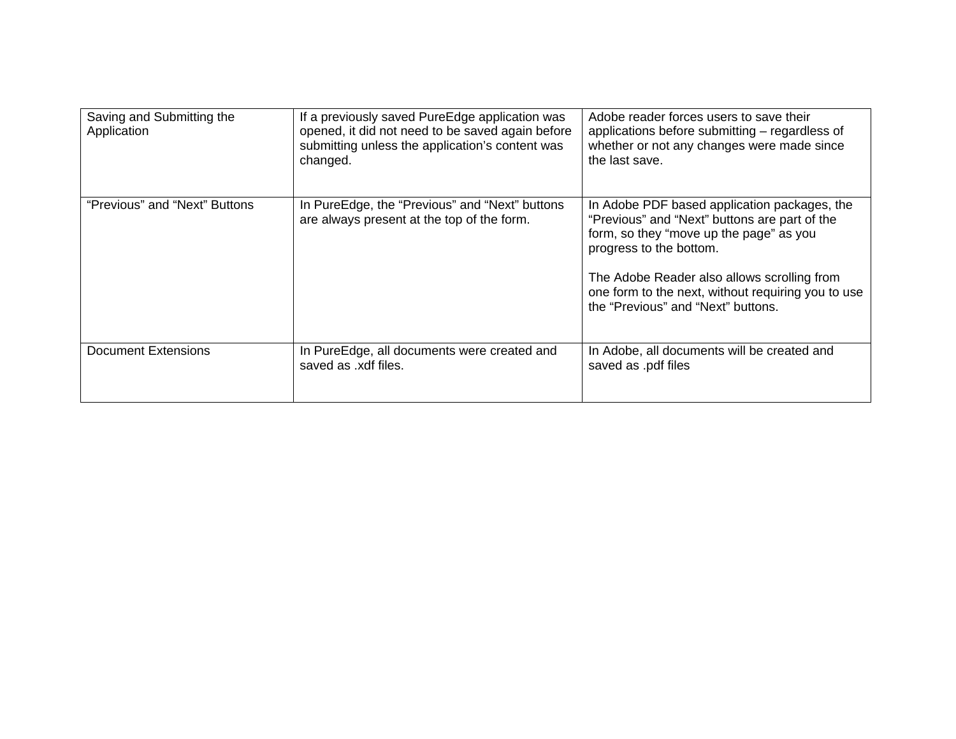| Saving and Submitting the<br>Application | If a previously saved PureEdge application was<br>opened, it did not need to be saved again before<br>submitting unless the application's content was<br>changed. | Adobe reader forces users to save their<br>applications before submitting – regardless of<br>whether or not any changes were made since<br>the last save.                                                                                                                                                      |
|------------------------------------------|-------------------------------------------------------------------------------------------------------------------------------------------------------------------|----------------------------------------------------------------------------------------------------------------------------------------------------------------------------------------------------------------------------------------------------------------------------------------------------------------|
| "Previous" and "Next" Buttons            | In PureEdge, the "Previous" and "Next" buttons<br>are always present at the top of the form.                                                                      | In Adobe PDF based application packages, the<br>"Previous" and "Next" buttons are part of the<br>form, so they "move up the page" as you<br>progress to the bottom.<br>The Adobe Reader also allows scrolling from<br>one form to the next, without requiring you to use<br>the "Previous" and "Next" buttons. |
| Document Extensions                      | In PureEdge, all documents were created and<br>saved as .xdf files.                                                                                               | In Adobe, all documents will be created and<br>saved as .pdf files                                                                                                                                                                                                                                             |